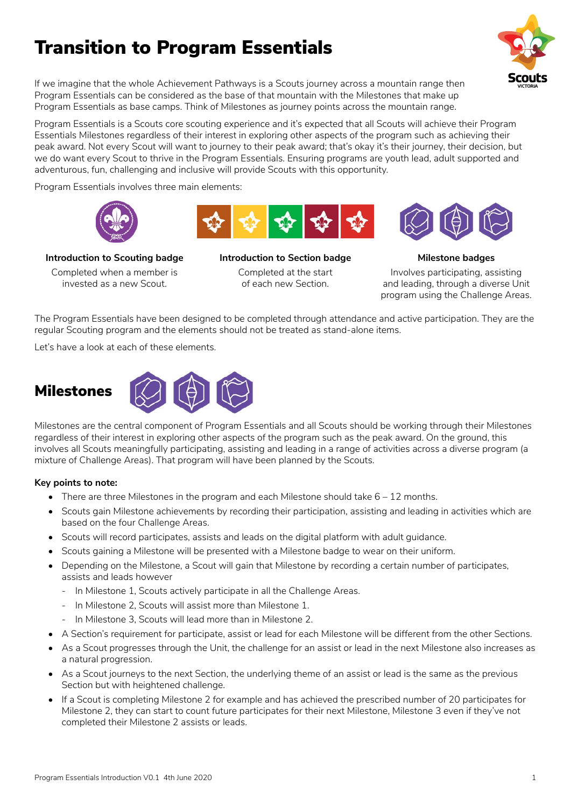# Transition to Program Essentials



If we imagine that the whole Achievement Pathways is a Scouts journey across a mountain range then Program Essentials can be considered as the base of that mountain with the Milestones that make up Program Essentials as base camps. Think of Milestones as journey points across the mountain range.

Program Essentials is a Scouts core scouting experience and it's expected that all Scouts will achieve their Program Essentials Milestones regardless of their interest in exploring other aspects of the program such as achieving their peak award. Not every Scout will want to journey to their peak award; that's okay it's their journey, their decision, but we do want every Scout to thrive in the Program Essentials. Ensuring programs are youth lead, adult supported and adventurous, fun, challenging and inclusive will provide Scouts with this opportunity.

Program Essentials involves three main elements:







**Introduction to Scouting badge** Completed when a member is invested as a new Scout.

**Introduction to Section badge** Completed at the start of each new Section.

**Milestone badges** Involves participating, assisting and leading, through a diverse Unit program using the Challenge Areas.

The Program Essentials have been designed to be completed through attendance and active participation. They are the regular Scouting program and the elements should not be treated as stand-alone items.

Let's have a look at each of these elements.



Milestones are the central component of Program Essentials and all Scouts should be working through their Milestones regardless of their interest in exploring other aspects of the program such as the peak award. On the ground, this involves all Scouts meaningfully participating, assisting and leading in a range of activities across a diverse program (a mixture of Challenge Areas). That program will have been planned by the Scouts.

## **Key points to note:**

- There are three Milestones in the program and each Milestone should take  $6 12$  months.
- Scouts gain Milestone achievements by recording their participation, assisting and leading in activities which are based on the four Challenge Areas.
- Scouts will record participates, assists and leads on the digital platform with adult guidance.
- Scouts gaining a Milestone will be presented with a Milestone badge to wear on their uniform.
- Depending on the Milestone, a Scout will gain that Milestone by recording a certain number of participates, assists and leads however
	- ‐ In Milestone 1, Scouts actively participate in all the Challenge Areas.
	- ‐ In Milestone 2, Scouts will assist more than Milestone 1.
	- ‐ In Milestone 3, Scouts will lead more than in Milestone 2.
- A Section's requirement for participate, assist or lead for each Milestone will be different from the other Sections.
- As a Scout progresses through the Unit, the challenge for an assist or lead in the next Milestone also increases as a natural progression.
- As a Scout journeys to the next Section, the underlying theme of an assist or lead is the same as the previous Section but with heightened challenge.
- If a Scout is completing Milestone 2 for example and has achieved the prescribed number of 20 participates for Milestone 2, they can start to count future participates for their next Milestone, Milestone 3 even if they've not completed their Milestone 2 assists or leads.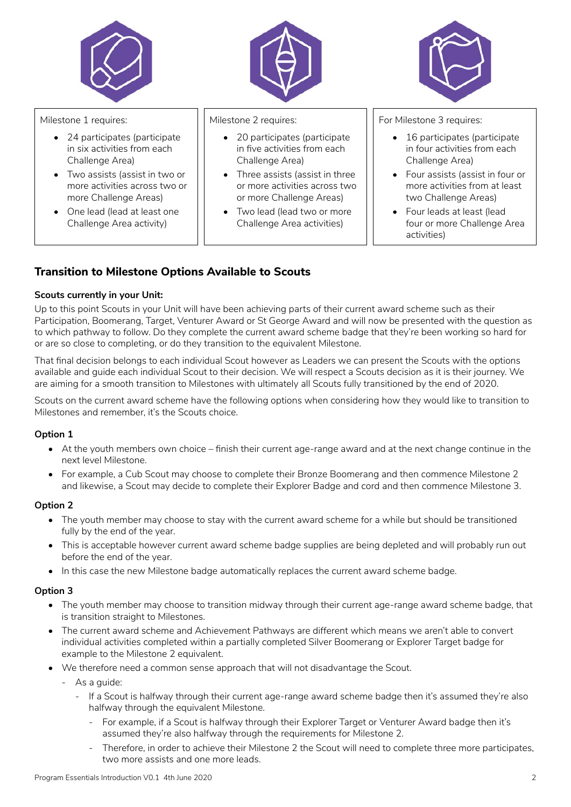

## **Transition to Milestone Options Available to Scouts**

#### **Scouts currently in your Unit:**

Up to this point Scouts in your Unit will have been achieving parts of their current award scheme such as their Participation, Boomerang, Target, Venturer Award or St George Award and will now be presented with the question as to which pathway to follow. Do they complete the current award scheme badge that they're been working so hard for or are so close to completing, or do they transition to the equivalent Milestone.

That final decision belongs to each individual Scout however as Leaders we can present the Scouts with the options available and guide each individual Scout to their decision. We will respect a Scouts decision as it is their journey. We are aiming for a smooth transition to Milestones with ultimately all Scouts fully transitioned by the end of 2020.

Scouts on the current award scheme have the following options when considering how they would like to transition to Milestones and remember, it's the Scouts choice.

#### **Option 1**

- At the youth members own choice finish their current age-range award and at the next change continue in the next level Milestone.
- For example, a Cub Scout may choose to complete their Bronze Boomerang and then commence Milestone 2 and likewise, a Scout may decide to complete their Explorer Badge and cord and then commence Milestone 3.

#### **Option 2**

- The youth member may choose to stay with the current award scheme for a while but should be transitioned fully by the end of the year.
- This is acceptable however current award scheme badge supplies are being depleted and will probably run out before the end of the year.
- In this case the new Milestone badge automatically replaces the current award scheme badge.

#### **Option 3**

- The youth member may choose to transition midway through their current age-range award scheme badge, that is transition straight to Milestones.
- The current award scheme and Achievement Pathways are different which means we aren't able to convert individual activities completed within a partially completed Silver Boomerang or Explorer Target badge for example to the Milestone 2 equivalent.
- We therefore need a common sense approach that will not disadvantage the Scout.
	- ‐ As a guide:
		- ‐ If a Scout is halfway through their current age-range award scheme badge then it's assumed they're also halfway through the equivalent Milestone.
			- ‐ For example, if a Scout is halfway through their Explorer Target or Venturer Award badge then it's assumed they're also halfway through the requirements for Milestone 2.
			- ‐ Therefore, in order to achieve their Milestone 2 the Scout will need to complete three more participates, two more assists and one more leads.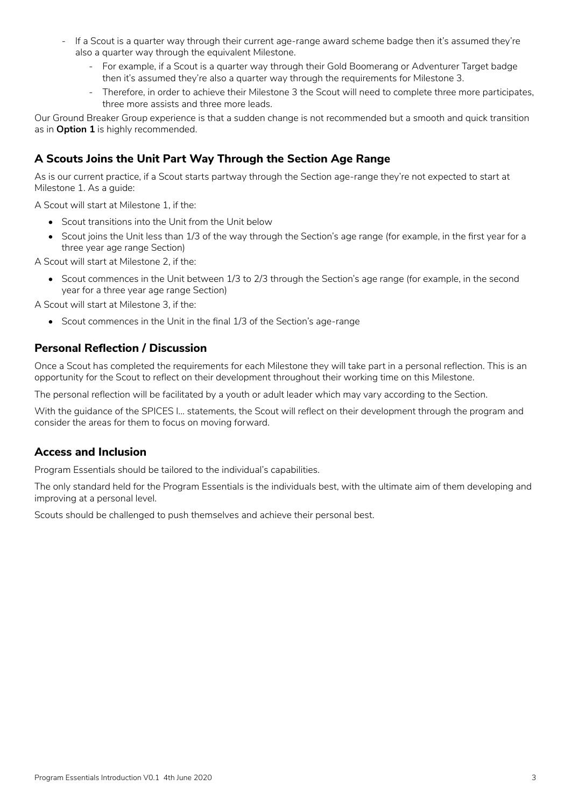- ‐ If a Scout is a quarter way through their current age-range award scheme badge then it's assumed they're also a quarter way through the equivalent Milestone.
	- ‐ For example, if a Scout is a quarter way through their Gold Boomerang or Adventurer Target badge then it's assumed they're also a quarter way through the requirements for Milestone 3.
	- ‐ Therefore, in order to achieve their Milestone 3 the Scout will need to complete three more participates, three more assists and three more leads.

Our Ground Breaker Group experience is that a sudden change is not recommended but a smooth and quick transition as in **Option 1** is highly recommended.

## **A Scouts Joins the Unit Part Way Through the Section Age Range**

As is our current practice, if a Scout starts partway through the Section age-range they're not expected to start at Milestone 1. As a guide:

A Scout will start at Milestone 1, if the:

- Scout transitions into the Unit from the Unit below
- Scout joins the Unit less than 1/3 of the way through the Section's age range (for example, in the first year for a three year age range Section)

A Scout will start at Milestone 2, if the:

• Scout commences in the Unit between 1/3 to 2/3 through the Section's age range (for example, in the second year for a three year age range Section)

A Scout will start at Milestone 3, if the:

• Scout commences in the Unit in the final 1/3 of the Section's age-range

## **Personal Reflection / Discussion**

Once a Scout has completed the requirements for each Milestone they will take part in a personal reflection. This is an opportunity for the Scout to reflect on their development throughout their working time on this Milestone.

The personal reflection will be facilitated by a youth or adult leader which may vary according to the Section.

With the quidance of the SPICES I... statements, the Scout will reflect on their development through the program and consider the areas for them to focus on moving forward.

## **Access and Inclusion**

Program Essentials should be tailored to the individual's capabilities.

The only standard held for the Program Essentials is the individuals best, with the ultimate aim of them developing and improving at a personal level.

Scouts should be challenged to push themselves and achieve their personal best.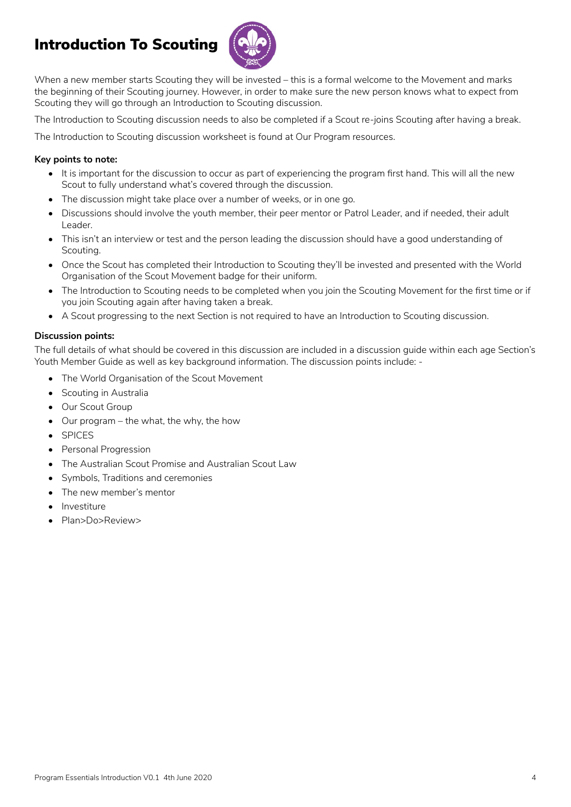## Introduction To Scouting



When a new member starts Scouting they will be invested – this is a formal welcome to the Movement and marks the beginning of their Scouting journey. However, in order to make sure the new person knows what to expect from Scouting they will go through an Introduction to Scouting discussion.

The Introduction to Scouting discussion needs to also be completed if a Scout re-joins Scouting after having a break.

The Introduction to Scouting discussion worksheet is found at Our Program resources.

## **Key points to note:**

- It is important for the discussion to occur as part of experiencing the program first hand. This will all the new Scout to fully understand what's covered through the discussion.
- The discussion might take place over a number of weeks, or in one go.
- Discussions should involve the youth member, their peer mentor or Patrol Leader, and if needed, their adult Leader.
- This isn't an interview or test and the person leading the discussion should have a good understanding of Scouting.
- Once the Scout has completed their Introduction to Scouting they'll be invested and presented with the World Organisation of the Scout Movement badge for their uniform.
- The Introduction to Scouting needs to be completed when you join the Scouting Movement for the first time or if you join Scouting again after having taken a break.
- A Scout progressing to the next Section is not required to have an Introduction to Scouting discussion.

## **Discussion points:**

The full details of what should be covered in this discussion are included in a discussion guide within each age Section's Youth Member Guide as well as key background information. The discussion points include: -

- The World Organisation of the Scout Movement
- Scouting in Australia
- Our Scout Group
- Our program the what, the why, the how
- SPICES
- Personal Progression
- The Australian Scout Promise and Australian Scout Law
- Symbols, Traditions and ceremonies
- The new member's mentor
- **Investiture**
- Plan>Do>Review>